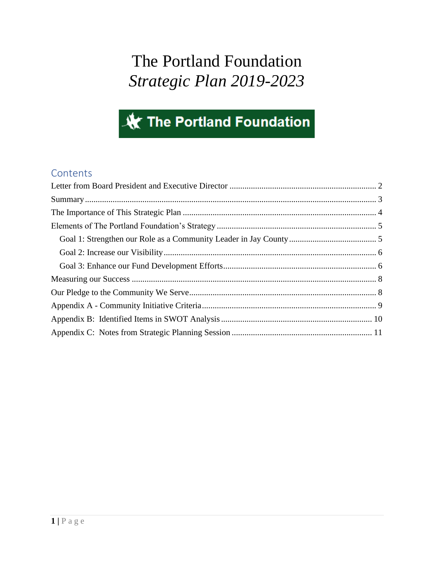# The Portland Foundation *Strategic Plan 2019-2023*

# **XX The Portland Foundation**

## **Contents**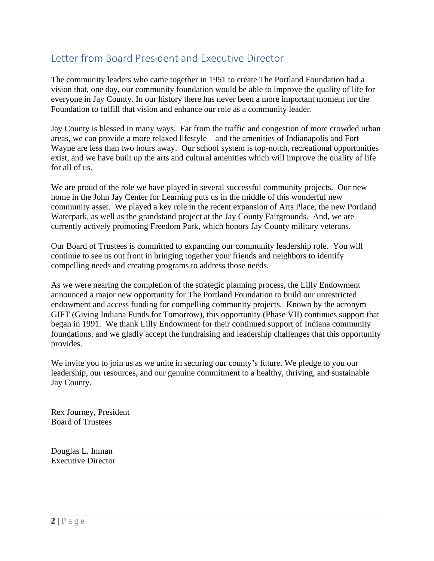## <span id="page-1-0"></span>Letter from Board President and Executive Director

The community leaders who came together in 1951 to create The Portland Foundation had a vision that, one day, our community foundation would be able to improve the quality of life for everyone in Jay County. In our history there has never been a more important moment for the Foundation to fulfill that vision and enhance our role as a community leader.

Jay County is blessed in many ways. Far from the traffic and congestion of more crowded urban areas, we can provide a more relaxed lifestyle – and the amenities of Indianapolis and Fort Wayne are less than two hours away. Our school system is top-notch, recreational opportunities exist, and we have built up the arts and cultural amenities which will improve the quality of life for all of us.

We are proud of the role we have played in several successful community projects. Our new home in the John Jay Center for Learning puts us in the middle of this wonderful new community asset. We played a key role in the recent expansion of Arts Place, the new Portland Waterpark, as well as the grandstand project at the Jay County Fairgrounds. And, we are currently actively promoting Freedom Park, which honors Jay County military veterans.

Our Board of Trustees is committed to expanding our community leadership role. You will continue to see us out front in bringing together your friends and neighbors to identify compelling needs and creating programs to address those needs.

As we were nearing the completion of the strategic planning process, the Lilly Endowment announced a major new opportunity for The Portland Foundation to build our unrestricted endowment and access funding for compelling community projects. Known by the acronym GIFT (Giving Indiana Funds for Tomorrow), this opportunity (Phase VII) continues support that began in 1991. We thank Lilly Endowment for their continued support of Indiana community foundations, and we gladly accept the fundraising and leadership challenges that this opportunity provides.

We invite you to join us as we unite in securing our county's future. We pledge to you our leadership, our resources, and our genuine commitment to a healthy, thriving, and sustainable Jay County.

Rex Journey, President Board of Trustees

Douglas L. Inman Executive Director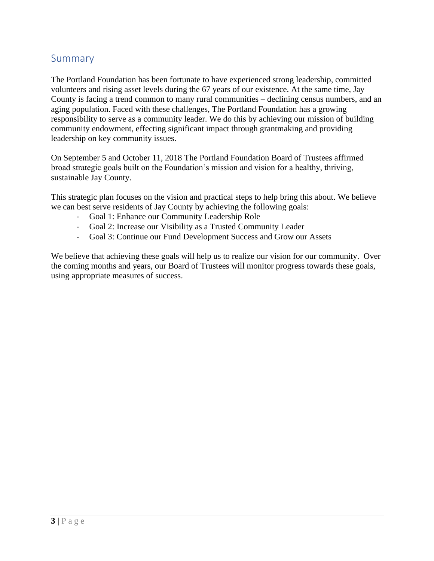### <span id="page-2-0"></span>Summary

The Portland Foundation has been fortunate to have experienced strong leadership, committed volunteers and rising asset levels during the 67 years of our existence. At the same time, Jay County is facing a trend common to many rural communities – declining census numbers, and an aging population. Faced with these challenges, The Portland Foundation has a growing responsibility to serve as a community leader. We do this by achieving our mission of building community endowment, effecting significant impact through grantmaking and providing leadership on key community issues.

On September 5 and October 11, 2018 The Portland Foundation Board of Trustees affirmed broad strategic goals built on the Foundation's mission and vision for a healthy, thriving, sustainable Jay County.

This strategic plan focuses on the vision and practical steps to help bring this about. We believe we can best serve residents of Jay County by achieving the following goals:

- Goal 1: Enhance our Community Leadership Role
- Goal 2: Increase our Visibility as a Trusted Community Leader
- Goal 3: Continue our Fund Development Success and Grow our Assets

We believe that achieving these goals will help us to realize our vision for our community. Over the coming months and years, our Board of Trustees will monitor progress towards these goals, using appropriate measures of success.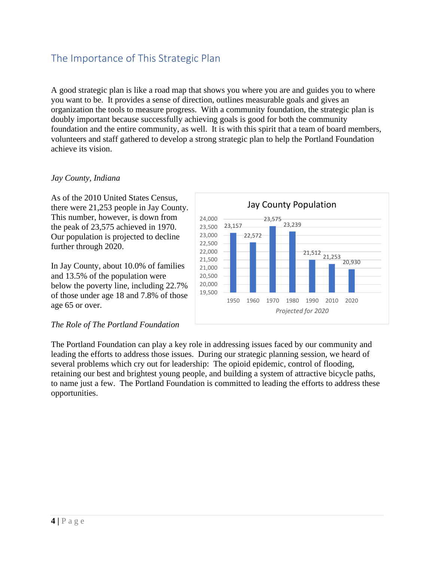## <span id="page-3-0"></span>The Importance of This Strategic Plan

A good strategic plan is like a road map that shows you where you are and guides you to where you want to be. It provides a sense of direction, outlines measurable goals and gives an organization the tools to measure progress. With a community foundation, the strategic plan is doubly important because successfully achieving goals is good for both the community foundation and the entire community, as well. It is with this spirit that a team of board members, volunteers and staff gathered to develop a strong strategic plan to help the Portland Foundation achieve its vision.

#### *Jay County, Indiana*

As of the 2010 United States Census, there were 21,253 people in Jay County. This number, however, is down from the peak of 23,575 achieved in 1970. Our population is projected to decline further through 2020.

In Jay County, about 10.0% of families and 13.5% of the population were below the poverty line, including 22.7% of those under age 18 and 7.8% of those age 65 or over.

#### *The Role of The Portland Foundation*

The Portland Foundation can play a key role in addressing issues faced by our community and leading the efforts to address those issues. During our strategic planning session, we heard of several problems which cry out for leadership: The opioid epidemic, control of flooding, retaining our best and brightest young people, and building a system of attractive bicycle paths, to name just a few. The Portland Foundation is committed to leading the efforts to address these opportunities.

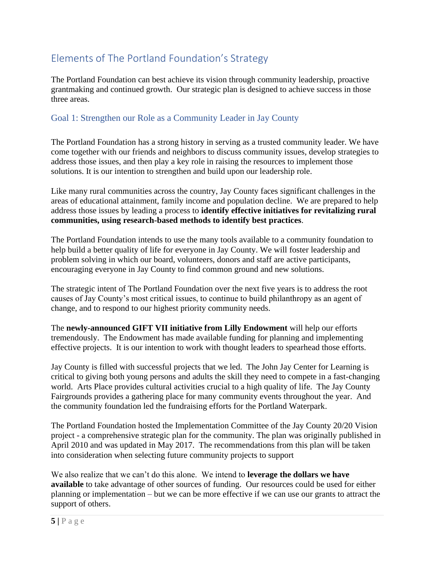# <span id="page-4-0"></span>Elements of The Portland Foundation's Strategy

The Portland Foundation can best achieve its vision through community leadership, proactive grantmaking and continued growth. Our strategic plan is designed to achieve success in those three areas.

#### <span id="page-4-1"></span>Goal 1: Strengthen our Role as a Community Leader in Jay County

The Portland Foundation has a strong history in serving as a trusted community leader. We have come together with our friends and neighbors to discuss community issues, develop strategies to address those issues, and then play a key role in raising the resources to implement those solutions. It is our intention to strengthen and build upon our leadership role.

Like many rural communities across the country, Jay County faces significant challenges in the areas of educational attainment, family income and population decline. We are prepared to help address those issues by leading a process to **identify effective initiatives for revitalizing rural communities, using research-based methods to identify best practices**.

The Portland Foundation intends to use the many tools available to a community foundation to help build a better quality of life for everyone in Jay County. We will foster leadership and problem solving in which our board, volunteers, donors and staff are active participants, encouraging everyone in Jay County to find common ground and new solutions.

The strategic intent of The Portland Foundation over the next five years is to address the root causes of Jay County's most critical issues, to continue to build philanthropy as an agent of change, and to respond to our highest priority community needs.

The **newly-announced GIFT VII initiative from Lilly Endowment** will help our efforts tremendously. The Endowment has made available funding for planning and implementing effective projects. It is our intention to work with thought leaders to spearhead those efforts.

Jay County is filled with successful projects that we led. The John Jay Center for Learning is critical to giving both young persons and adults the skill they need to compete in a fast-changing world. Arts Place provides cultural activities crucial to a high quality of life. The Jay County Fairgrounds provides a gathering place for many community events throughout the year. And the community foundation led the fundraising efforts for the Portland Waterpark.

The Portland Foundation hosted the Implementation Committee of the Jay County 20/20 Vision project - a comprehensive strategic plan for the community. The plan was originally published in April 2010 and was updated in May 2017. The recommendations from this plan will be taken into consideration when selecting future community projects to support

We also realize that we can't do this alone. We intend to **leverage the dollars we have available** to take advantage of other sources of funding. Our resources could be used for either planning or implementation – but we can be more effective if we can use our grants to attract the support of others.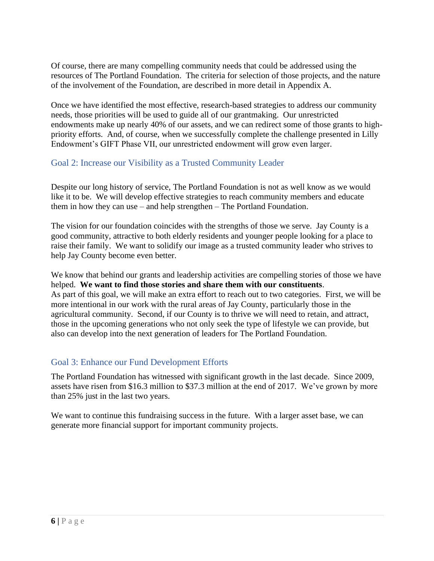Of course, there are many compelling community needs that could be addressed using the resources of The Portland Foundation. The criteria for selection of those projects, and the nature of the involvement of the Foundation, are described in more detail in Appendix A.

Once we have identified the most effective, research-based strategies to address our community needs, those priorities will be used to guide all of our grantmaking. Our unrestricted endowments make up nearly 40% of our assets, and we can redirect some of those grants to highpriority efforts. And, of course, when we successfully complete the challenge presented in Lilly Endowment's GIFT Phase VII, our unrestricted endowment will grow even larger.

#### <span id="page-5-0"></span>Goal 2: Increase our Visibility as a Trusted Community Leader

Despite our long history of service, The Portland Foundation is not as well know as we would like it to be. We will develop effective strategies to reach community members and educate them in how they can use – and help strengthen – The Portland Foundation.

The vision for our foundation coincides with the strengths of those we serve. Jay County is a good community, attractive to both elderly residents and younger people looking for a place to raise their family. We want to solidify our image as a trusted community leader who strives to help Jay County become even better.

We know that behind our grants and leadership activities are compelling stories of those we have helped. **We want to find those stories and share them with our constituents**. As part of this goal, we will make an extra effort to reach out to two categories. First, we will be more intentional in our work with the rural areas of Jay County, particularly those in the agricultural community. Second, if our County is to thrive we will need to retain, and attract, those in the upcoming generations who not only seek the type of lifestyle we can provide, but also can develop into the next generation of leaders for The Portland Foundation.

#### <span id="page-5-1"></span>Goal 3: Enhance our Fund Development Efforts

The Portland Foundation has witnessed with significant growth in the last decade. Since 2009, assets have risen from \$16.3 million to \$37.3 million at the end of 2017. We've grown by more than 25% just in the last two years.

We want to continue this fundraising success in the future. With a larger asset base, we can generate more financial support for important community projects.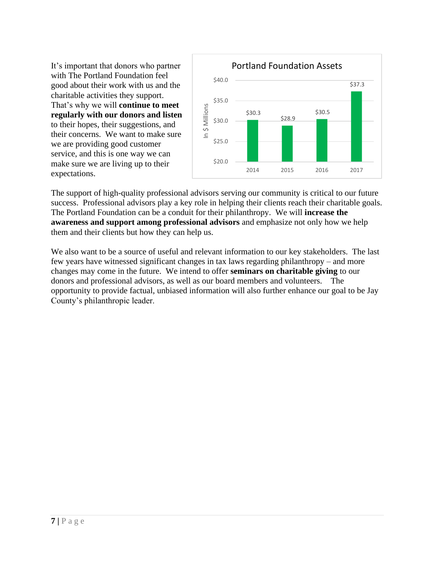It's important that donors who partner with The Portland Foundation feel good about their work with us and the charitable activities they support. That's why we will **continue to meet regularly with our donors and listen** to their hopes, their suggestions, and their concerns. We want to make sure we are providing good customer service, and this is one way we can make sure we are living up to their expectations.



The support of high-quality professional advisors serving our community is critical to our future success. Professional advisors play a key role in helping their clients reach their charitable goals. The Portland Foundation can be a conduit for their philanthropy. We will **increase the awareness and support among professional advisors** and emphasize not only how we help them and their clients but how they can help us.

We also want to be a source of useful and relevant information to our key stakeholders. The last few years have witnessed significant changes in tax laws regarding philanthropy – and more changes may come in the future. We intend to offer **seminars on charitable giving** to our donors and professional advisors, as well as our board members and volunteers. The opportunity to provide factual, unbiased information will also further enhance our goal to be Jay County's philanthropic leader.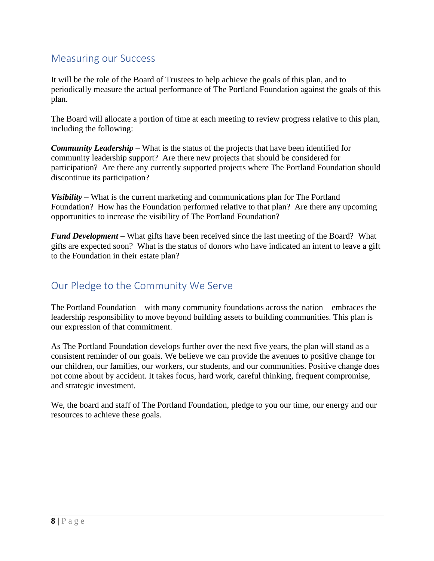## <span id="page-7-0"></span>Measuring our Success

It will be the role of the Board of Trustees to help achieve the goals of this plan, and to periodically measure the actual performance of The Portland Foundation against the goals of this plan.

The Board will allocate a portion of time at each meeting to review progress relative to this plan, including the following:

*Community Leadership* – What is the status of the projects that have been identified for community leadership support? Are there new projects that should be considered for participation? Are there any currently supported projects where The Portland Foundation should discontinue its participation?

*Visibility* – What is the current marketing and communications plan for The Portland Foundation? How has the Foundation performed relative to that plan? Are there any upcoming opportunities to increase the visibility of The Portland Foundation?

*Fund Development* – What gifts have been received since the last meeting of the Board? What gifts are expected soon? What is the status of donors who have indicated an intent to leave a gift to the Foundation in their estate plan?

## <span id="page-7-1"></span>Our Pledge to the Community We Serve

The Portland Foundation – with many community foundations across the nation – embraces the leadership responsibility to move beyond building assets to building communities. This plan is our expression of that commitment.

As The Portland Foundation develops further over the next five years, the plan will stand as a consistent reminder of our goals. We believe we can provide the avenues to positive change for our children, our families, our workers, our students, and our communities. Positive change does not come about by accident. It takes focus, hard work, careful thinking, frequent compromise, and strategic investment.

We, the board and staff of The Portland Foundation, pledge to you our time, our energy and our resources to achieve these goals.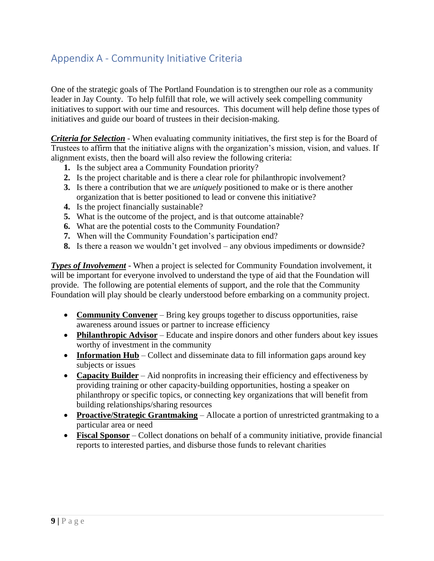# <span id="page-8-0"></span>Appendix A - Community Initiative Criteria

One of the strategic goals of The Portland Foundation is to strengthen our role as a community leader in Jay County. To help fulfill that role, we will actively seek compelling community initiatives to support with our time and resources. This document will help define those types of initiatives and guide our board of trustees in their decision-making.

*Criteria for Selection* - When evaluating community initiatives, the first step is for the Board of Trustees to affirm that the initiative aligns with the organization's mission, vision, and values. If alignment exists, then the board will also review the following criteria:

- **1.** Is the subject area a Community Foundation priority?
- **2.** Is the project charitable and is there a clear role for philanthropic involvement?
- **3.** Is there a contribution that we are *uniquely* positioned to make or is there another organization that is better positioned to lead or convene this initiative?
- **4.** Is the project financially sustainable?
- **5.** What is the outcome of the project, and is that outcome attainable?
- **6.** What are the potential costs to the Community Foundation?
- **7.** When will the Community Foundation's participation end?
- **8.** Is there a reason we wouldn't get involved any obvious impediments or downside?

*Types of Involvement* - When a project is selected for Community Foundation involvement, it will be important for everyone involved to understand the type of aid that the Foundation will provide. The following are potential elements of support, and the role that the Community Foundation will play should be clearly understood before embarking on a community project.

- **Community Convener** Bring key groups together to discuss opportunities, raise awareness around issues or partner to increase efficiency
- **Philanthropic Advisor** Educate and inspire donors and other funders about key issues worthy of investment in the community
- **Information Hub** Collect and disseminate data to fill information gaps around key subjects or issues
- **Capacity Builder** Aid nonprofits in increasing their efficiency and effectiveness by providing training or other capacity-building opportunities, hosting a speaker on philanthropy or specific topics, or connecting key organizations that will benefit from building relationships/sharing resources
- **Proactive/Strategic Grantmaking** Allocate a portion of unrestricted grantmaking to a particular area or need
- **Fiscal Sponsor** Collect donations on behalf of a community initiative, provide financial reports to interested parties, and disburse those funds to relevant charities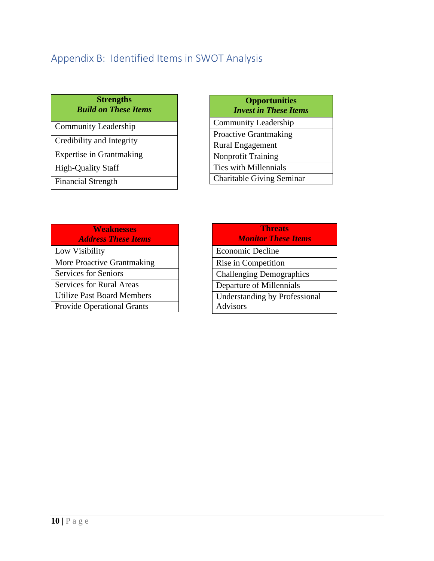# <span id="page-9-0"></span>Appendix B: Identified Items in SWOT Analysis

#### **Strengths** *Build on These Items*

| <b>Community Leadership</b>     |
|---------------------------------|
| Credibility and Integrity       |
| <b>Expertise in Grantmaking</b> |
| <b>High-Quality Staff</b>       |
| <b>Financial Strength</b>       |

#### **Opportunities** *Invest in These Items*

Community Leadership Proactive Grantmaking Rural Engagement Nonprofit Training Ties with Millennials Charitable Giving Seminar

| <b>Weaknesses</b><br><b>Address These Items</b> |
|-------------------------------------------------|
| Low Visibility                                  |
| More Proactive Grantmaking                      |
| <b>Services for Seniors</b>                     |
| <b>Services for Rural Areas</b>                 |
| Utilize Past Board Members                      |
| <b>Provide Operational Grants</b>               |
|                                                 |

| <b>Threats</b>                  |
|---------------------------------|
| <b>Monitor These Items</b>      |
| Economic Decline                |
| Rise in Competition             |
| <b>Challenging Demographics</b> |
| Departure of Millennials        |
| Understanding by Professional   |
| Advisors                        |